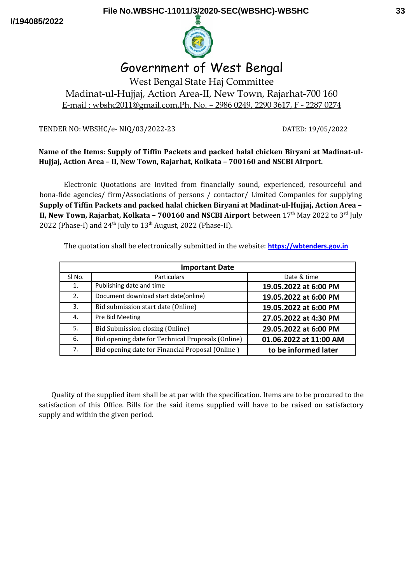

# Government of West Bengal

West Bengal State Haj Committee Madinat-ul-Hujjaj, Action Area-II, New Town, Rajarhat-700 160 E-mail : wbshc2011@gmail.com,Ph. No. – 2986 0249, 2290 3617, F - 2287 0274

TENDER NO: WBSHC/e- NIQ/03/2022-23 DATED: 19/05/2022

# **Name of the Items: Supply of Tiffin Packets and packed halal chicken Biryani at Madinat-ul-Hujjaj, Action Area – II, New Town, Rajarhat, Kolkata – 700160 and NSCBI Airport.**

Electronic Quotations are invited from financially sound, experienced, resourceful and bona-fide agencies/ firm/Associations of persons / contactor/ Limited Companies for supplying **Supply of Tiffin Packets and packed halal chicken Biryani at Madinat-ul-Hujjaj, Action Area – II, New Town, Rajarhat, Kolkata - 700160 and NSCBI Airport** between 17<sup>th</sup> May 2022 to 3<sup>rd</sup> July 2022 (Phase-I) and  $24<sup>th</sup>$  July to  $13<sup>th</sup>$  August, 2022 (Phase-II).

The quotation shall be electronically submitted in the website: **[https://wbtenders.gov.in](https://wbtenders.gov.in/)**

| <b>Important Date</b> |                                                   |                        |  |
|-----------------------|---------------------------------------------------|------------------------|--|
| SI No.                | <b>Particulars</b>                                | Date & time            |  |
| 1.                    | Publishing date and time                          | 19.05.2022 at 6:00 PM  |  |
| 2.                    | Document download start date(online)              | 19.05.2022 at 6:00 PM  |  |
| 3.                    | Bid submission start date (Online)                | 19.05.2022 at 6:00 PM  |  |
| 4.                    | Pre Bid Meeting                                   | 27.05.2022 at 4:30 PM  |  |
| 5.                    | Bid Submission closing (Online)                   | 29.05.2022 at 6:00 PM  |  |
| 6.                    | Bid opening date for Technical Proposals (Online) | 01.06.2022 at 11:00 AM |  |
| 7.                    | Bid opening date for Financial Proposal (Online)  | to be informed later   |  |

Quality of the supplied item shall be at par with the specification. Items are to be procured to the satisfaction of this Office. Bills for the said items supplied will have to be raised on satisfactory supply and within the given period.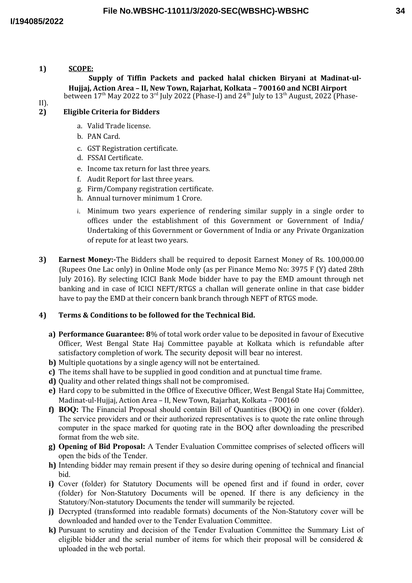# **1) SCOPE:**

**Supply of Tiffin Packets and packed halal chicken Biryani at Madinat-ul-Hujjaj, Action Area – II, New Town, Rajarhat, Kolkata – 700160 and NCBI Airport** between  $17<sup>th</sup>$  May 2022 to  $3<sup>rd</sup>$  July 2022 (Phase-I) and  $24<sup>th</sup>$  July to  $13<sup>th</sup>$  August, 2022 (Phase-

# II).

# **2) Eligible Criteria for Bidders**

- a. Valid Trade license.
- b. PAN Card.
- c. GST Registration certificate.
- d. FSSAI Certificate.
- e. Income tax return for last three years.
- f. Audit Report for last three years.
- g. Firm/Company registration certificate.
- h. Annual turnover minimum 1 Crore.
- i. Minimum two years experience of rendering similar supply in a single order to offices under the establishment of this Government or Government of India/ Undertaking of this Government or Government of India or any Private Organization of repute for at least two years.
- **3) Earnest Money:-**The Bidders shall be required to deposit Earnest Money of Rs. 100,000.00 (Rupees One Lac only) in Online Mode only (as per Finance Memo No: 3975 F (Y) dated 28th July 2016). By selecting ICICI Bank Mode bidder have to pay the EMD amount through net banking and in case of ICICI NEFT/RTGS a challan will generate online in that case bidder have to pay the EMD at their concern bank branch through NEFT of RTGS mode.

#### **4) Terms & Conditions to be followed for the Technical Bid.**

- **a) Performance Guarantee: 8**% of total work order value to be deposited in favour of Executive Officer, West Bengal State Haj Committee payable at Kolkata which is refundable after satisfactory completion of work. The security deposit will bear no interest.
- **b)** Multiple quotations by a single agency will not be entertained.
- **c)** The items shall have to be supplied in good condition and at punctual time frame.
- **d)** Quality and other related things shall not be compromised.
- **e)** Hard copy to be submitted in the Office of Executive Officer, West Bengal State Haj Committee, Madinat-ul-Hujjaj, Action Area – II, New Town, Rajarhat, Kolkata – 700160
- **f) BOQ:** The Financial Proposal should contain Bill of Quantities (BOQ) in one cover (folder). The service providers and or their authorized representatives is to quote the rate online through computer in the space marked for quoting rate in the BOQ after downloading the prescribed format from the web site.
- **g) Opening of Bid Proposal:** A Tender Evaluation Committee comprises of selected officers will open the bids of the Tender.
- **h)** Intending bidder may remain present if they so desire during opening of technical and financial bid.
- **i)** Cover (folder) for Statutory Documents will be opened first and if found in order, cover (folder) for Non-Statutory Documents will be opened. If there is any deficiency in the Statutory/Non-statutory Documents the tender will summarily be rejected.
- **j)** Decrypted (transformed into readable formats) documents of the Non-Statutory cover will be downloaded and handed over to the Tender Evaluation Committee.
- **k)** Pursuant to scrutiny and decision of the Tender Evaluation Committee the Summary List of eligible bidder and the serial number of items for which their proposal will be considered  $\&$ uploaded in the web portal.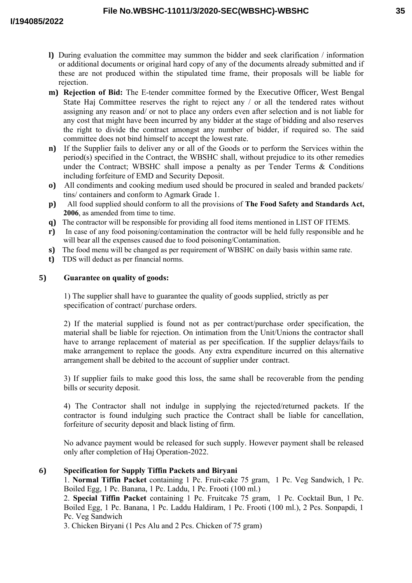- **l)** During evaluation the committee may summon the bidder and seek clarification / information or additional documents or original hard copy of any of the documents already submitted and if these are not produced within the stipulated time frame, their proposals will be liable for rejection.
- **m) Rejection of Bid:** The E-tender committee formed by the Executive Officer, West Bengal State Haj Committee reserves the right to reject any / or all the tendered rates without assigning any reason and/ or not to place any orders even after selection and is not liable for any cost that might have been incurred by any bidder at the stage of bidding and also reserves the right to divide the contract amongst any number of bidder, if required so. The said committee does not bind himself to accept the lowest rate.
- **n)** If the Supplier fails to deliver any or all of the Goods or to perform the Services within the period(s) specified in the Contract, the WBSHC shall, without prejudice to its other remedies under the Contract; WBSHC shall impose a penalty as per Tender Terms & Conditions including forfeiture of EMD and Security Deposit.
- **o)** All condiments and cooking medium used should be procured in sealed and branded packets/ tins/ containers and conform to Agmark Grade 1.
- **p)** All food supplied should conform to all the provisions of **The Food Safety and Standards Act, 2006**, as amended from time to time.
- **q)** The contractor will be responsible for providing all food items mentioned in LIST OF ITEMS.
- **r)** In case of any food poisoning/contamination the contractor will be held fully responsible and he will bear all the expenses caused due to food poisoning/Contamination.
- **s)** The food menu will be changed as per requirement of WBSHC on daily basis within same rate.
- **t)** TDS will deduct as per financial norms.

#### **5) Guarantee on quality of goods:**

1) The supplier shall have to guarantee the quality of goods supplied, strictly as per specification of contract/ purchase orders.

2) If the material supplied is found not as per contract/purchase order specification, the material shall be liable for rejection. On intimation from the Unit/Unions the contractor shall have to arrange replacement of material as per specification. If the supplier delays/fails to make arrangement to replace the goods. Any extra expenditure incurred on this alternative arrangement shall be debited to the account of supplier under contract.

3) If supplier fails to make good this loss, the same shall be recoverable from the pending bills or security deposit.

4) The Contractor shall not indulge in supplying the rejected/returned packets. If the contractor is found indulging such practice the Contract shall be liable for cancellation, forfeiture of security deposit and black listing of firm.

No advance payment would be released for such supply. However payment shall be released only after completion of Haj Operation-2022.

# **6) Specification for Supply Tiffin Packets and Biryani**

1. **Normal Tiffin Packet** containing 1 Pc. Fruit-cake 75 gram, 1 Pc. Veg Sandwich, 1 Pc. Boiled Egg, 1 Pc. Banana, 1 Pc. Laddu, 1 Pc. Frooti (100 ml.)

2. **Special Tiffin Packet** containing 1 Pc. Fruitcake 75 gram, 1 Pc. Cocktail Bun, 1 Pc. Boiled Egg, 1 Pc. Banana, 1 Pc. Laddu Haldiram, 1 Pc. Frooti (100 ml.), 2 Pcs. Sonpapdi, 1 Pc. Veg Sandwich

3. Chicken Biryani (1 Pcs Alu and 2 Pcs. Chicken of 75 gram)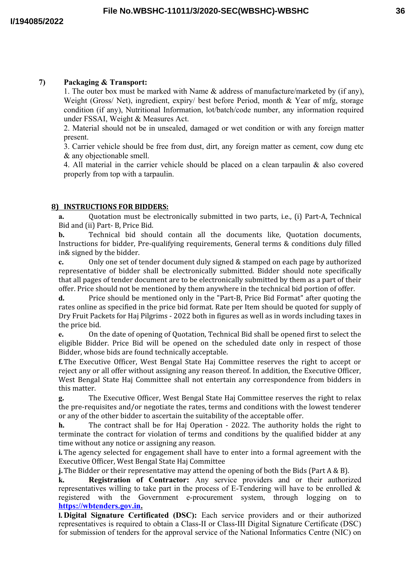# **7) Packaging & Transport:**

1. The outer box must be marked with Name  $\&$  address of manufacture/marketed by (if any), Weight (Gross/ Net), ingredient, expiry/ best before Period, month & Year of mfg, storage condition (if any), Nutritional Information, lot/batch/code number, any information required under FSSAI, Weight & Measures Act.

2. Material should not be in unsealed, damaged or wet condition or with any foreign matter present.

3. Carrier vehicle should be free from dust, dirt, any foreign matter as cement, cow dung etc & any objectionable smell.

4. All material in the carrier vehicle should be placed on a clean tarpaulin & also covered properly from top with a tarpaulin.

# **8) INSTRUCTIONS FOR BIDDERS:**

**a.** Quotation must be electronically submitted in two parts, i.e., (i) Part-A, Technical Bid and (ii) Part- B, Price Bid.

**b.** Technical bid should contain all the documents like, Quotation documents, Instructions for bidder, Pre-qualifying requirements, General terms & conditions duly filled in& signed by the bidder.

**c.** Only one set of tender document duly signed & stamped on each page by authorized representative of bidder shall be electronically submitted. Bidder should note specifically that all pages of tender document are to be electronically submitted by them as a part of their offer. Price should not be mentioned by them anywhere in the technical bid portion of offer.

**d.** Price should be mentioned only in the "Part-B, Price Bid Format" after quoting the rates online as specified in the price bid format. Rate per Item should be quoted for supply of Dry Fruit Packets for Haj Pilgrims - 2022 both in figures as well as in words including taxes in the price bid.

**e.** On the date of opening of Quotation, Technical Bid shall be opened first to select the eligible Bidder. Price Bid will be opened on the scheduled date only in respect of those Bidder, whose bids are found technically acceptable.

**f.**The Executive Officer, West Bengal State Haj Committee reserves the right to accept or reject any or all offer without assigning any reason thereof. In addition, the Executive Officer, West Bengal State Haj Committee shall not entertain any correspondence from bidders in this matter.

**g.** The Executive Officer, West Bengal State Haj Committee reserves the right to relax the pre-requisites and/or negotiate the rates, terms and conditions with the lowest tenderer or any of the other bidder to ascertain the suitability of the acceptable offer.

**h.** The contract shall be for Haj Operation - 2022. The authority holds the right to terminate the contract for violation of terms and conditions by the qualified bidder at any time without any notice or assigning any reason.

**i.** The agency selected for engagement shall have to enter into a formal agreement with the Executive Officer, West Bengal State Haj Committee

**j.**The Bidder or their representative may attend the opening of both the Bids (Part A & B).

**k. Registration of Contractor:** Any service providers and or their authorized representatives willing to take part in the process of E-Tendering will have to be enrolled  $\&$ registered with the Government e-procurement system, through logging on to  **[https://wbtenders.gov.in.](https://wbtenders.gov.in/)**

**l. Digital Signature Certificated (DSC):** Each service providers and or their authorized representatives is required to obtain a Class-II or Class-III Digital Signature Certificate (DSC) for submission of tenders for the approval service of the National Informatics Centre (NIC) on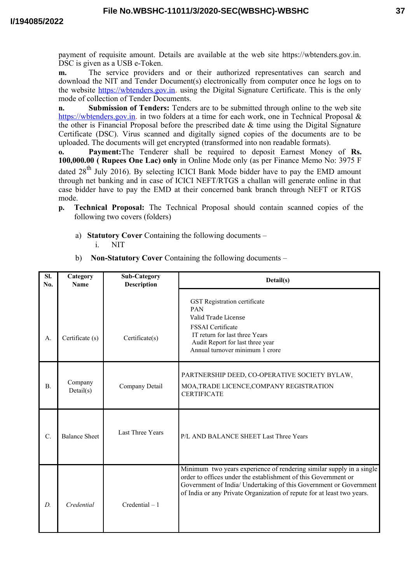payment of requisite amount. Details are available at the web site https://wbtenders.gov.in. DSC is given as a USB e-Token.

**m.** The service providers and or their authorized representatives can search and download the NIT and Tender Document(s) electronically from computer once he logs on to the website https://wbtenders.gov.in. using the Digital Signature Certificate. This is the only mode of collection of Tender Documents.

**n. Submission of Tenders:** Tenders are to be submitted through online to the web site https://wbtenders.gov.in. in two folders at a time for each work, one in Technical Proposal & the other is Financial Proposal before the prescribed date & time using the Digital Signature Certificate (DSC). Virus scanned and digitally signed copies of the documents are to be uploaded. The documents will get encrypted (transformed into non readable formats).

**o. Payment:**The Tenderer shall be required to deposit Earnest Money of **Rs. 100,000.00 ( Rupees One Lac) only** in Online Mode only (as per Finance Memo No: 3975 F dated 28<sup>th</sup> July 2016). By selecting ICICI Bank Mode bidder have to pay the EMD amount through net banking and in case of ICICI NEFT/RTGS a challan will generate online in that case bidder have to pay the EMD at their concerned bank branch through NEFT or RTGS mode.

- **p. Technical Proposal:** The Technical Proposal should contain scanned copies of the following two covers (folders)
	- a) **Statutory Cover** Containing the following documents i. NIT

| SI.<br>N <sub>0</sub> | Category<br><b>Name</b> | <b>Sub-Category</b><br><b>Description</b> | Detail(s)                                                                                                                                                                                                                                                                             |
|-----------------------|-------------------------|-------------------------------------------|---------------------------------------------------------------------------------------------------------------------------------------------------------------------------------------------------------------------------------------------------------------------------------------|
| A.                    | Certificate (s)         | Certificate(s)                            | GST Registration certificate<br><b>PAN</b><br>Valid Trade License<br>FSSAI Certificate<br>IT return for last three Years<br>Audit Report for last three year<br>Annual turnover minimum 1 crore                                                                                       |
| <b>B.</b>             | Company<br>Details(s)   | Company Detail                            | PARTNERSHIP DEED, CO-OPERATIVE SOCIETY BYLAW,<br>MOA, TRADE LICENCE, COMPANY REGISTRATION<br><b>CERTIFICATE</b>                                                                                                                                                                       |
| $\mathcal{C}$ .       | <b>Balance Sheet</b>    | Last Three Years                          | P/L AND BALANCE SHEET Last Three Years                                                                                                                                                                                                                                                |
| D.                    | Credential              | $Credential - 1$                          | Minimum two years experience of rendering similar supply in a single<br>order to offices under the establishment of this Government or<br>Government of India/ Undertaking of this Government or Government<br>of India or any Private Organization of repute for at least two years. |

b) **Non-Statutory Cover** Containing the following documents –